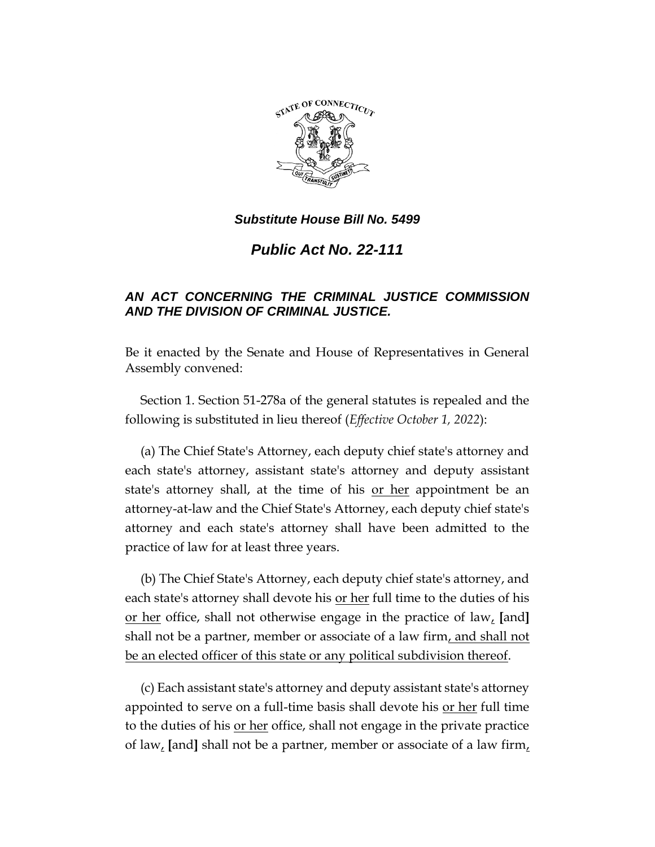

## *Substitute House Bill No. 5499*

*Public Act No. 22-111*

## *AN ACT CONCERNING THE CRIMINAL JUSTICE COMMISSION AND THE DIVISION OF CRIMINAL JUSTICE.*

Be it enacted by the Senate and House of Representatives in General Assembly convened:

Section 1. Section 51-278a of the general statutes is repealed and the following is substituted in lieu thereof (*Effective October 1, 2022*):

(a) The Chief State's Attorney, each deputy chief state's attorney and each state's attorney, assistant state's attorney and deputy assistant state's attorney shall, at the time of his or her appointment be an attorney-at-law and the Chief State's Attorney, each deputy chief state's attorney and each state's attorney shall have been admitted to the practice of law for at least three years.

(b) The Chief State's Attorney, each deputy chief state's attorney, and each state's attorney shall devote his <u>or her</u> full time to the duties of his or her office, shall not otherwise engage in the practice of law, **[**and**]** shall not be a partner, member or associate of a law firm, and shall not be an elected officer of this state or any political subdivision thereof.

(c) Each assistant state's attorney and deputy assistant state's attorney appointed to serve on a full-time basis shall devote his or her full time to the duties of his <u>or her</u> office, shall not engage in the private practice of law, **[**and**]** shall not be a partner, member or associate of a law firm,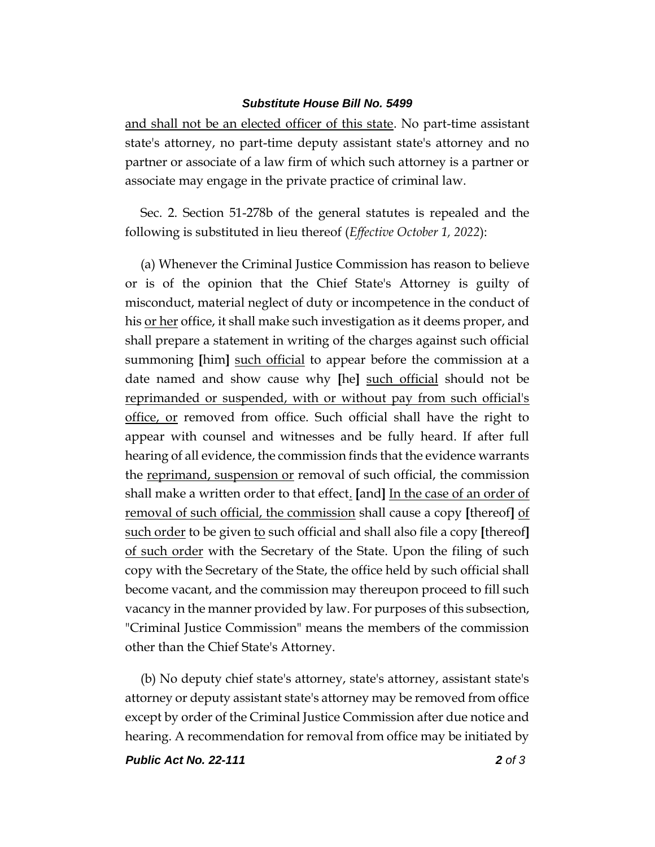## *Substitute House Bill No. 5499*

and shall not be an elected officer of this state. No part-time assistant state's attorney, no part-time deputy assistant state's attorney and no partner or associate of a law firm of which such attorney is a partner or associate may engage in the private practice of criminal law.

Sec. 2. Section 51-278b of the general statutes is repealed and the following is substituted in lieu thereof (*Effective October 1, 2022*):

(a) Whenever the Criminal Justice Commission has reason to believe or is of the opinion that the Chief State's Attorney is guilty of misconduct, material neglect of duty or incompetence in the conduct of his <u>or her</u> office, it shall make such investigation as it deems proper, and shall prepare a statement in writing of the charges against such official summoning **[**him**]** such official to appear before the commission at a date named and show cause why **[**he**]** such official should not be reprimanded or suspended, with or without pay from such official's office, or removed from office. Such official shall have the right to appear with counsel and witnesses and be fully heard. If after full hearing of all evidence, the commission finds that the evidence warrants the reprimand, suspension or removal of such official, the commission shall make a written order to that effect. **[**and**]** In the case of an order of removal of such official, the commission shall cause a copy **[**thereof**]** of such order to be given to such official and shall also file a copy **[**thereof**]** of such order with the Secretary of the State. Upon the filing of such copy with the Secretary of the State, the office held by such official shall become vacant, and the commission may thereupon proceed to fill such vacancy in the manner provided by law. For purposes of this subsection, "Criminal Justice Commission" means the members of the commission other than the Chief State's Attorney.

(b) No deputy chief state's attorney, state's attorney, assistant state's attorney or deputy assistant state's attorney may be removed from office except by order of the Criminal Justice Commission after due notice and hearing. A recommendation for removal from office may be initiated by